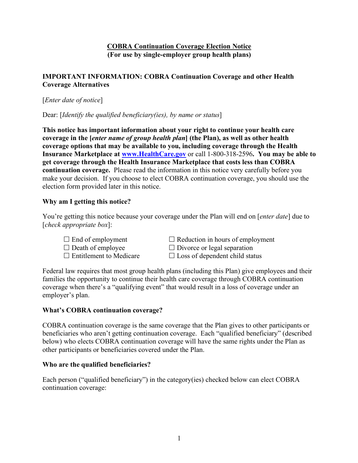# **COBRA Continuation Coverage Election Notice (For use by single-employer group health plans)**

# **IMPORTANT INFORMATION: COBRA Continuation Coverage and other Health Coverage Alternatives**

[*Enter date of notice*]

Dear: [*Identify the qualified beneficiary(ies), by name or status*]

**This notice has important information about your right to continue your health care coverage in the [***enter name of group health plan***] (the Plan), as well as other health coverage options that may be available to you, including coverage through the Health Insurance Marketplace at www.HealthCare.gov** or call 1-800-318-2596**. You may be able to get coverage through the Health Insurance Marketplace that costs less than COBRA continuation coverage.** Please read the information in this notice very carefully before you make your decision. If you choose to elect COBRA continuation coverage, you should use the election form provided later in this notice.

# **Why am I getting this notice?**

You're getting this notice because your coverage under the Plan will end on [*enter date*] due to [*check appropriate box*]:

- 
- 
- 
- $\Box$  End of employment  $\Box$  Reduction in hours of employment
- $\square$  Death of employee  $\square$  Divorce or legal separation
- $\square$  Entitlement to Medicare  $\square$  Loss of dependent child status

Federal law requires that most group health plans (including this Plan) give employees and their families the opportunity to continue their health care coverage through COBRA continuation coverage when there's a "qualifying event" that would result in a loss of coverage under an employer's plan.

# **What's COBRA continuation coverage?**

COBRA continuation coverage is the same coverage that the Plan gives to other participants or beneficiaries who aren't getting continuation coverage. Each "qualified beneficiary" (described below) who elects COBRA continuation coverage will have the same rights under the Plan as other participants or beneficiaries covered under the Plan.

# **Who are the qualified beneficiaries?**

Each person ("qualified beneficiary") in the category(ies) checked below can elect COBRA continuation coverage: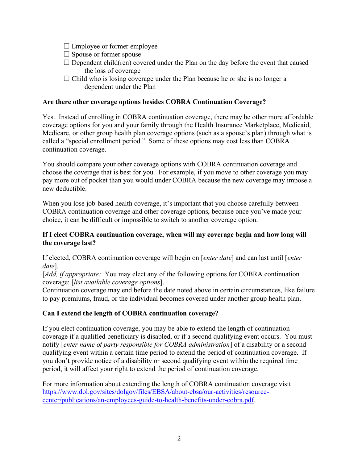- $\square$  Employee or former employee
- $\square$  Spouse or former spouse
- $\square$  Dependent child(ren) covered under the Plan on the day before the event that caused the loss of coverage
- $\square$  Child who is losing coverage under the Plan because he or she is no longer a dependent under the Plan

### **Are there other coverage options besides COBRA Continuation Coverage?**

Yes. Instead of enrolling in COBRA continuation coverage, there may be other more affordable coverage options for you and your family through the Health Insurance Marketplace, Medicaid, Medicare, or other group health plan coverage options (such as a spouse's plan) through what is called a "special enrollment period." Some of these options may cost less than COBRA continuation coverage.

You should compare your other coverage options with COBRA continuation coverage and choose the coverage that is best for you. For example, if you move to other coverage you may pay more out of pocket than you would under COBRA because the new coverage may impose a new deductible.

When you lose job-based health coverage, it's important that you choose carefully between COBRA continuation coverage and other coverage options, because once you've made your choice, it can be difficult or impossible to switch to another coverage option.

### **If I elect COBRA continuation coverage, when will my coverage begin and how long will the coverage last?**

If elected, COBRA continuation coverage will begin on [*enter date*] and can last until [*enter date*]*.*

[*Add, if appropriate:* You may elect any of the following options for COBRA continuation coverage: [*list available coverage options*].

Continuation coverage may end before the date noted above in certain circumstances, like failure to pay premiums, fraud, or the individual becomes covered under another group health plan.

# **Can I extend the length of COBRA continuation coverage?**

If you elect continuation coverage, you may be able to extend the length of continuation coverage if a qualified beneficiary is disabled, or if a second qualifying event occurs. You must notify [*enter name of party responsible for COBRA administration*] of a disability or a second qualifying event within a certain time period to extend the period of continuation coverage. If you don't provide notice of a disability or second qualifying event within the required time period, it will affect your right to extend the period of continuation coverage.

For more information about extending the length of COBRA continuation coverage visit https://www.dol.gov/sites/dolgov/files/EBSA/about-ebsa/our-activities/resourcecenter/publications/an-employees-guide-to-health-benefits-under-cobra.pdf.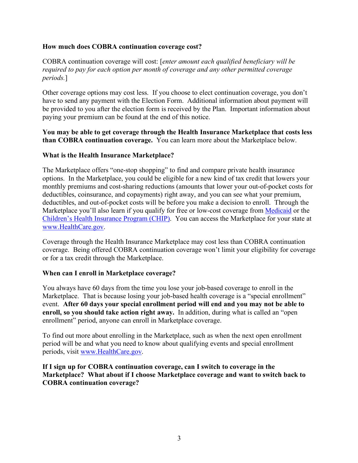### **How much does COBRA continuation coverage cost?**

COBRA continuation coverage will cost: [*enter amount each qualified beneficiary will be required to pay for each option per month of coverage and any other permitted coverage periods.*]

Other coverage options may cost less. If you choose to elect continuation coverage, you don't have to send any payment with the Election Form. Additional information about payment will be provided to you after the election form is received by the Plan. Important information about paying your premium can be found at the end of this notice.

**You may be able to get coverage through the Health Insurance Marketplace that costs less than COBRA continuation coverage.** You can learn more about the Marketplace below.

### **What is the Health Insurance Marketplace?**

The Marketplace offers "one-stop shopping" to find and compare private health insurance options. In the Marketplace, you could be eligible for a new kind of tax credit that lowers your monthly premiums and cost-sharing reductions (amounts that lower your out-of-pocket costs for deductibles, coinsurance, and copayments) right away, and you can see what your premium, deductibles, and out-of-pocket costs will be before you make a decision to enroll. Through the Marketplace you'll also learn if you qualify for free or low-cost coverage from Medicaid or the Children's Health Insurance Program (CHIP). You can access the Marketplace for your state at www.HealthCare.gov.

Coverage through the Health Insurance Marketplace may cost less than COBRA continuation coverage. Being offered COBRA continuation coverage won't limit your eligibility for coverage or for a tax credit through the Marketplace.

### **When can I enroll in Marketplace coverage?**

You always have 60 days from the time you lose your job-based coverage to enroll in the Marketplace. That is because losing your job-based health coverage is a "special enrollment" event. **After 60 days your special enrollment period will end and you may not be able to enroll, so you should take action right away.** In addition, during what is called an "open enrollment" period, anyone can enroll in Marketplace coverage.

To find out more about enrolling in the Marketplace, such as when the next open enrollment period will be and what you need to know about qualifying events and special enrollment periods, visit www.HealthCare.gov.

**If I sign up for COBRA continuation coverage, can I switch to coverage in the Marketplace? What about if I choose Marketplace coverage and want to switch back to COBRA continuation coverage?**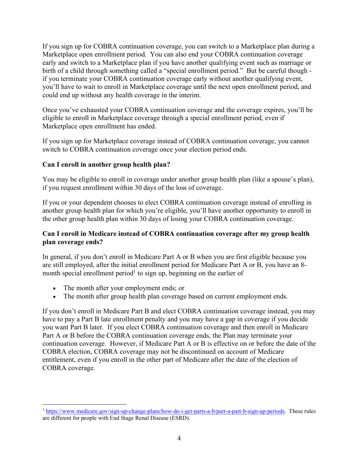If you sign up for COBRA continuation coverage, you can switch to a Marketplace plan during a Marketplace open enrollment period. You can also end your COBRA continuation coverage early and switch to a Marketplace plan if you have another qualifying event such as marriage or birth of a child through something called a "special enrollment period." But be careful though if you terminate your COBRA continuation coverage early without another qualifying event, you'll have to wait to enroll in Marketplace coverage until the next open enrollment period, and could end up without any health coverage in the interim.

Once you've exhausted your COBRA continuation coverage and the coverage expires, you'll be eligible to enroll in Marketplace coverage through a special enrollment period, even if Marketplace open enrollment has ended.

If you sign up for Marketplace coverage instead of COBRA continuation coverage, you cannot switch to COBRA continuation coverage once your election period ends.

# **Can I enroll in another group health plan?**

You may be eligible to enroll in coverage under another group health plan (like a spouse's plan), if you request enrollment within 30 days of the loss of coverage.

If you or your dependent chooses to elect COBRA continuation coverage instead of enrolling in another group health plan for which you're eligible, you'll have another opportunity to enroll in the other group health plan within 30 days of losing your COBRA continuation coverage.

# **Can I enroll in Medicare instead of COBRA continuation coverage after my group health plan coverage ends?**

In general, if you don't enroll in Medicare Part A or B when you are first eligible because you are still employed, after the initial enrollment period for Medicare Part A or B, you have an 8 month special enrollment period<sup>1</sup> to sign up, beginning on the earlier of

- The month after your employment ends; or
- The month after group health plan coverage based on current employment ends.

If you don't enroll in Medicare Part B and elect COBRA continuation coverage instead, you may have to pay a Part B late enrollment penalty and you may have a gap in coverage if you decide you want Part B later. If you elect COBRA continuation coverage and then enroll in Medicare Part A or B before the COBRA continuation coverage ends, the Plan may terminate your continuation coverage. However, if Medicare Part A or B is effective on or before the date of the COBRA election, COBRA coverage may not be discontinued on account of Medicare entitlement, even if you enroll in the other part of Medicare after the date of the election of COBRA coverage.

<sup>&</sup>lt;sup>1</sup> https://www.medicare.gov/sign-up-change-plans/how-do-i-get-parts-a-b/part-a-part-b-sign-up-periods. These rules are different for people with End Stage Renal Disease (ESRD).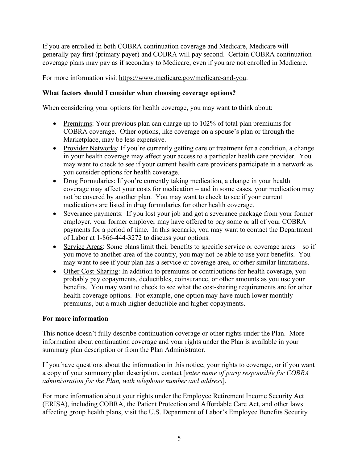If you are enrolled in both COBRA continuation coverage and Medicare, Medicare will generally pay first (primary payer) and COBRA will pay second. Certain COBRA continuation coverage plans may pay as if secondary to Medicare, even if you are not enrolled in Medicare.

For more information visit https://www.medicare.gov/medicare-and-you.

# **What factors should I consider when choosing coverage options?**

When considering your options for health coverage, you may want to think about:

- Premiums: Your previous plan can charge up to 102% of total plan premiums for COBRA coverage. Other options, like coverage on a spouse's plan or through the Marketplace, may be less expensive.
- Provider Networks: If you're currently getting care or treatment for a condition, a change in your health coverage may affect your access to a particular health care provider. You may want to check to see if your current health care providers participate in a network as you consider options for health coverage.
- Drug Formularies: If you're currently taking medication, a change in your health coverage may affect your costs for medication – and in some cases, your medication may not be covered by another plan. You may want to check to see if your current medications are listed in drug formularies for other health coverage.
- Severance payments: If you lost your job and got a severance package from your former employer, your former employer may have offered to pay some or all of your COBRA payments for a period of time. In this scenario, you may want to contact the Department of Labor at 1-866-444-3272 to discuss your options.
- Service Areas: Some plans limit their benefits to specific service or coverage areas so if you move to another area of the country, you may not be able to use your benefits. You may want to see if your plan has a service or coverage area, or other similar limitations.
- Other Cost-Sharing: In addition to premiums or contributions for health coverage, you probably pay copayments, deductibles, coinsurance, or other amounts as you use your benefits. You may want to check to see what the cost-sharing requirements are for other health coverage options. For example, one option may have much lower monthly premiums, but a much higher deductible and higher copayments.

# **For more information**

This notice doesn't fully describe continuation coverage or other rights under the Plan. More information about continuation coverage and your rights under the Plan is available in your summary plan description or from the Plan Administrator.

If you have questions about the information in this notice, your rights to coverage, or if you want a copy of your summary plan description, contact [*enter name of party responsible for COBRA administration for the Plan, with telephone number and address*].

For more information about your rights under the Employee Retirement Income Security Act (ERISA), including COBRA, the Patient Protection and Affordable Care Act, and other laws affecting group health plans, visit the U.S. Department of Labor's Employee Benefits Security